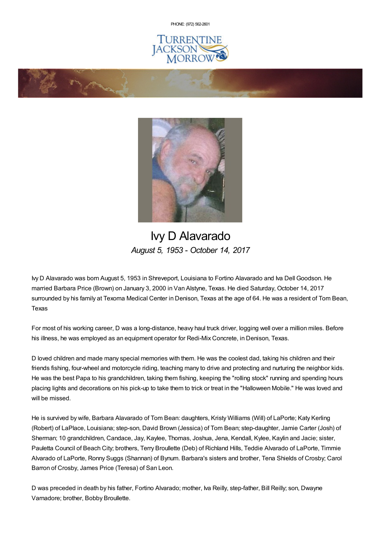PHONE: (972) [562-2601](tel:(972) 562-2601)







## Ivy D Alavarado *August 5, 1953 - October 14, 2017*

Ivy D Alavarado was born August 5, 1953 in Shreveport, Louisiana to Fortino Alavarado and Iva Dell Goodson. He married Barbara Price (Brown) on January 3, 2000 in Van Alstyne, Texas. He died Saturday, October 14, 2017 surrounded by his family at Texoma Medical Center in Denison, Texas at the age of 64. He was a resident of Tom Bean, Texas

For most of his working career, D was a long-distance, heavy haul truck driver, logging well over a million miles. Before his illness, he was employed as an equipment operator for Redi-Mix Concrete, in Denison, Texas.

D loved children and made many special memories with them. He was the coolest dad, taking his children and their friends fishing, four-wheel and motorcycle riding, teaching many to drive and protecting and nurturing the neighbor kids. He was the best Papa to his grandchildren, taking them fishing, keeping the "rolling stock" running and spending hours placing lights and decorations on his pick-up to take them to trick or treat in the "Halloween Mobile." He was loved and will be missed.

He is survived by wife, Barbara Alavarado of Tom Bean: daughters, Kristy Williams (Will) of LaPorte; Katy Kerling (Robert) of LaPlace, Louisiana; step-son, David Brown (Jessica) of Tom Bean; step-daughter, Jamie Carter (Josh) of Sherman; 10 grandchildren, Candace, Jay, Kaylee, Thomas, Joshua, Jena, Kendall, Kylee, Kaylin and Jacie; sister, Pauletta Council of Beach City; brothers, Terry Broullette (Deb) of Richland Hills, Teddie Alvarado of LaPorte, Timmie Alvarado of LaPorte, Ronny Suggs (Shannan) of Bynum. Barbara's sisters and brother, Tena Shields of Crosby; Carol Barron of Crosby, James Price (Teresa) of San Leon.

D was preceded in death by his father, Fortino Alvarado; mother, Iva Reilly, step-father, Bill Reilly; son, Dwayne Varnadore; brother, Bobby Broullette.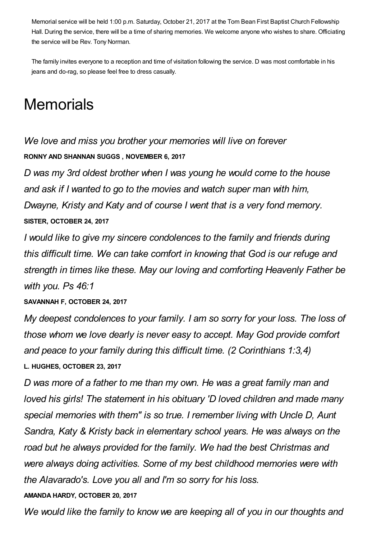Memorial service will be held 1:00 p.m. Saturday, October 21, 2017 at the Tom Bean First Baptist Church Fellowship Hall. During the service, there will be a time of sharing memories. We welcome anyone who wishes to share. Officiating the service will be Rev. Tony Norman.

The family invites everyone to a reception and time of visitation following the service. D was most comfortable in his jeans and do-rag, so please feel free to dress casually.

## **Memorials**

*We love and miss you brother your memories will live on forever* **RONNY AND SHANNAN SUGGS , NOVEMBER 6, 2017**

*D was my 3rd oldest brother when I was young he would come to the house and ask if I wanted to go to the movies and watch super man with him, Dwayne, Kristy and Katy and of course I went that is a very fond memory.* **SISTER, OCTOBER 24, 2017**

*I would like to give my sincere condolences to the family and friends during this difficult time. We can take comfort in knowing that God is our refuge and strength in times like these. May our loving and comforting Heavenly Father be with you. Ps 46:1*

**SAVANNAH F, OCTOBER 24, 2017**

*My deepest condolences to your family. I am so sorry for your loss. The loss of those whom we love dearly is never easy to accept. May God provide comfort and peace to your family during this difficult time. (2 Corinthians 1:3,4)* **L. HUGHES, OCTOBER 23, 2017**

*D was more of a father to me than my own. He was a great family man and loved his girls! The statement in his obituary 'D loved children and made many special memories with them" is so true. I remember living with Uncle D, Aunt Sandra, Katy & Kristy back in elementary school years. He was always on the road but he always provided for the family. We had the best Christmas and were always doing activities. Some of my best childhood memories were with the Alavarado's. Love you all and I'm so sorry for his loss.*

## **AMANDA HARDY, OCTOBER 20, 2017**

*We would like the family to know we are keeping all of you in our thoughts and*